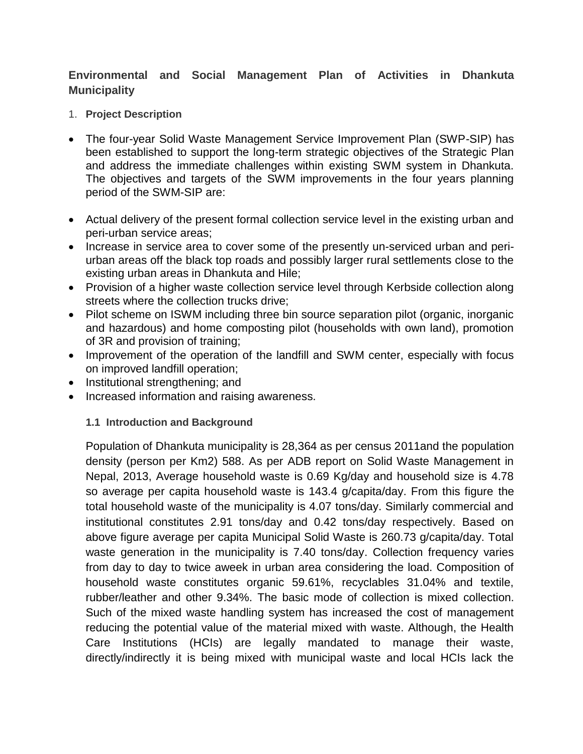# **Environmental and Social Management Plan of Activities in Dhankuta Municipality**

- 1. **Project Description**
- The four-year Solid Waste Management Service Improvement Plan (SWP-SIP) has been established to support the long-term strategic objectives of the Strategic Plan and address the immediate challenges within existing SWM system in Dhankuta. The objectives and targets of the SWM improvements in the four years planning period of the SWM-SIP are:
- Actual delivery of the present formal collection service level in the existing urban and peri-urban service areas;
- Increase in service area to cover some of the presently un-serviced urban and periurban areas off the black top roads and possibly larger rural settlements close to the existing urban areas in Dhankuta and Hile;
- Provision of a higher waste collection service level through Kerbside collection along streets where the collection trucks drive;
- Pilot scheme on ISWM including three bin source separation pilot (organic, inorganic and hazardous) and home composting pilot (households with own land), promotion of 3R and provision of training;
- Improvement of the operation of the landfill and SWM center, especially with focus on improved landfill operation;
- Institutional strengthening; and
- Increased information and raising awareness.

### **1.1 Introduction and Background**

Population of Dhankuta municipality is 28,364 as per census 2011and the population density (person per Km2) 588. As per ADB report on Solid Waste Management in Nepal, 2013, Average household waste is 0.69 Kg/day and household size is 4.78 so average per capita household waste is 143.4 g/capita/day. From this figure the total household waste of the municipality is 4.07 tons/day. Similarly commercial and institutional constitutes 2.91 tons/day and 0.42 tons/day respectively. Based on above figure average per capita Municipal Solid Waste is 260.73 g/capita/day. Total waste generation in the municipality is 7.40 tons/day. Collection frequency varies from day to day to twice aweek in urban area considering the load. Composition of household waste constitutes organic 59.61%, recyclables 31.04% and textile, rubber/leather and other 9.34%. The basic mode of collection is mixed collection. Such of the mixed waste handling system has increased the cost of management reducing the potential value of the material mixed with waste. Although, the Health Care Institutions (HCIs) are legally mandated to manage their waste, directly/indirectly it is being mixed with municipal waste and local HCIs lack the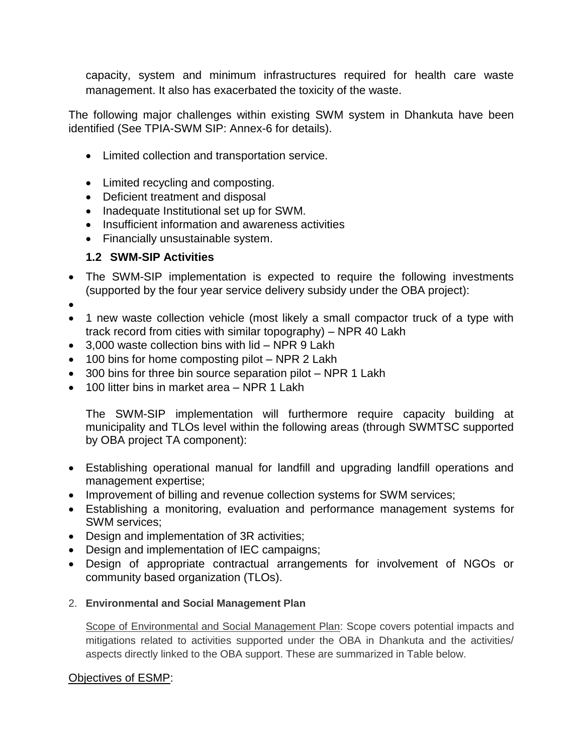capacity, system and minimum infrastructures required for health care waste management. It also has exacerbated the toxicity of the waste.

The following major challenges within existing SWM system in Dhankuta have been identified (See TPIA-SWM SIP: Annex-6 for details).

- Limited collection and transportation service.
- Limited recycling and composting.
- Deficient treatment and disposal
- Inadequate Institutional set up for SWM.
- Insufficient information and awareness activities
- Financially unsustainable system.

## **1.2 SWM-SIP Activities**

• The SWM-SIP implementation is expected to require the following investments (supported by the four year service delivery subsidy under the OBA project):

 $\bullet$ 

- 1 new waste collection vehicle (most likely a small compactor truck of a type with track record from cities with similar topography) – NPR 40 Lakh
- 3,000 waste collection bins with lid NPR 9 Lakh
- 100 bins for home composting pilot NPR 2 Lakh
- 300 bins for three bin source separation pilot NPR 1 Lakh
- 100 litter bins in market area NPR 1 Lakh

The SWM-SIP implementation will furthermore require capacity building at municipality and TLOs level within the following areas (through SWMTSC supported by OBA project TA component):

- Establishing operational manual for landfill and upgrading landfill operations and management expertise;
- Improvement of billing and revenue collection systems for SWM services;
- Establishing a monitoring, evaluation and performance management systems for SWM services;
- Design and implementation of 3R activities;
- Design and implementation of IEC campaigns;
- Design of appropriate contractual arrangements for involvement of NGOs or community based organization (TLOs).
- 2. **Environmental and Social Management Plan**

Scope of Environmental and Social Management Plan: Scope covers potential impacts and mitigations related to activities supported under the OBA in Dhankuta and the activities/ aspects directly linked to the OBA support. These are summarized in Table below.

### Objectives of ESMP: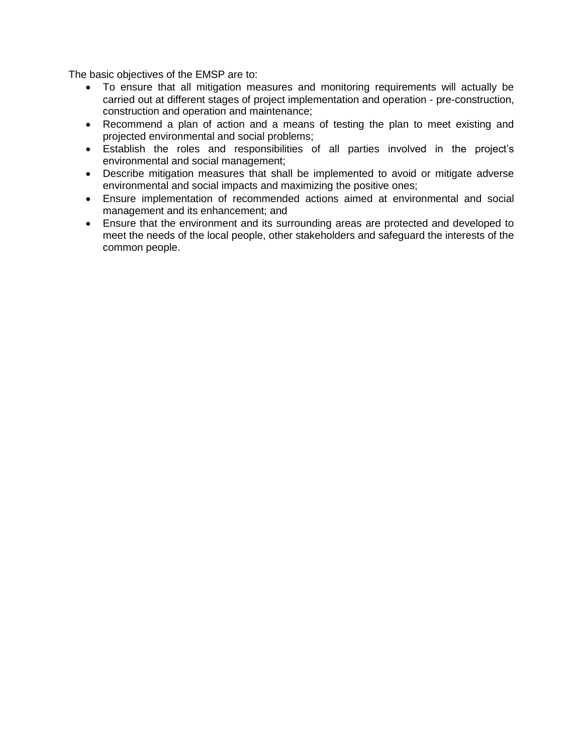The basic objectives of the EMSP are to:

- To ensure that all mitigation measures and monitoring requirements will actually be carried out at different stages of project implementation and operation - pre-construction, construction and operation and maintenance;
- Recommend a plan of action and a means of testing the plan to meet existing and projected environmental and social problems;
- Establish the roles and responsibilities of all parties involved in the project's environmental and social management;
- Describe mitigation measures that shall be implemented to avoid or mitigate adverse environmental and social impacts and maximizing the positive ones;
- Ensure implementation of recommended actions aimed at environmental and social management and its enhancement; and
- Ensure that the environment and its surrounding areas are protected and developed to meet the needs of the local people, other stakeholders and safeguard the interests of the common people.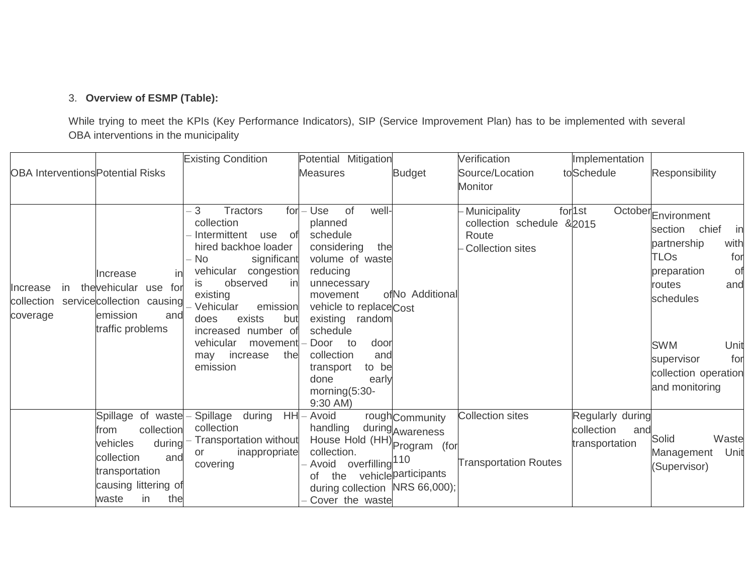## 3. **Overview of ESMP (Table):**

While trying to meet the KPIs (Key Performance Indicators), SIP (Service Improvement Plan) has to be implemented with several OBA interventions in the municipality

| <b>OBA Interventions Potential Risks</b>  |                                                                                                                                                    | <b>Existing Condition</b>                                                                                                                                                                                                                                                                                                   | Potential Mitigation<br><b>Measures</b>                                                                                                                                                                                                                                                              | <b>Budget</b>                                              | Verification<br>Source/Location<br><b>Monitor</b>                                    | Implementation<br>toSchedule                            | Responsibility                                                                                                                                                                                                                                  |
|-------------------------------------------|----------------------------------------------------------------------------------------------------------------------------------------------------|-----------------------------------------------------------------------------------------------------------------------------------------------------------------------------------------------------------------------------------------------------------------------------------------------------------------------------|------------------------------------------------------------------------------------------------------------------------------------------------------------------------------------------------------------------------------------------------------------------------------------------------------|------------------------------------------------------------|--------------------------------------------------------------------------------------|---------------------------------------------------------|-------------------------------------------------------------------------------------------------------------------------------------------------------------------------------------------------------------------------------------------------|
| Increase<br>in.<br>collection<br>coverage | Increase<br>in<br>thevehicular use for<br>servicecollection causing<br>emission<br>and<br>traffic problems                                         | $-3$<br><b>Tractors</b><br>for<br>collection<br>Intermittent<br>use<br>of<br>hired backhoe loader<br>No<br>significant<br>vehicular congestion<br>observed<br>in<br>İS.<br>existing<br>Vehicular<br>emission<br>exists<br>but<br>does<br>increased number of<br>vehicular<br>movement<br>increase<br>the<br>may<br>emission | well-<br>Use<br>of<br>planned<br>schedule<br>considering<br>the<br>volume of waste<br>reducing<br>unnecessary<br>movement<br>vehicle to replaceCost<br>existing<br>random<br>schedule<br>Door<br>to<br>door<br>collection<br>and<br>to be<br>transport<br>done<br>early<br>morning(5:30-<br>9:30 AM) | ofNo Additional                                            | <b>Municipality</b><br>collection schedule &2015<br>Route<br><b>Collection sites</b> | for <sup>1st</sup>                                      | October <sub>Environment</sub><br>chief<br>in<br>section<br>with<br>partnership<br><b>TLOs</b><br>for<br>preparation<br>. of<br>routes<br>and<br>schedules<br><b>SWM</b><br>Unit<br>supervisor<br>for<br>collection operation<br>and monitoring |
|                                           | Spillage of waste<br>collection<br>from<br>during<br>vehicles<br>collection<br>and<br>transportation<br>causing littering of<br>the<br>in<br>waste | Spillage<br>during<br><b>HH</b><br>collection<br>Transportation without<br>inappropriate<br>or<br>covering                                                                                                                                                                                                                  | Avoid<br>handling<br>House Hold (HH) Program (for<br>collection.<br>overfilling <sup>110</sup><br>Avoid<br>the<br>οf<br>during collection NRS 66,000);<br>Cover the waste                                                                                                                            | roughCommunity<br>during Awareness<br>vehicle participants | <b>Collection sites</b><br><b>Transportation Routes</b>                              | Regularly during<br>collection<br>and<br>transportation | Solid<br>Waste<br>Unit<br>Management<br>(Supervisor)                                                                                                                                                                                            |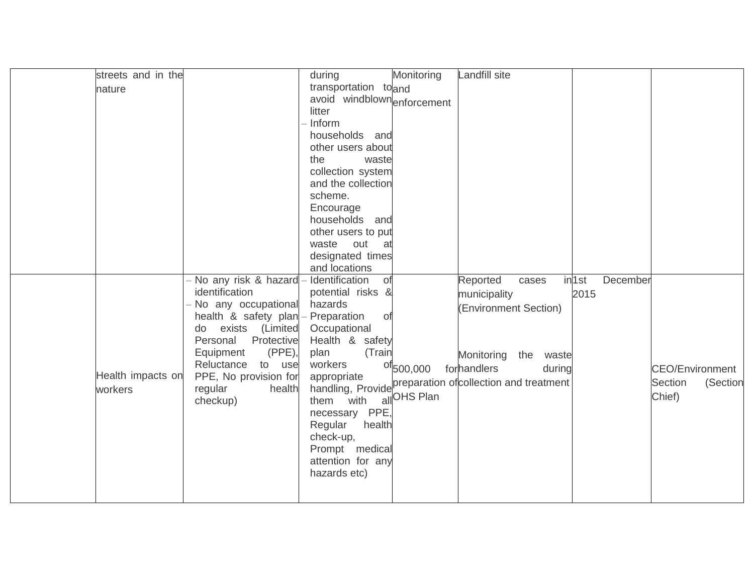| streets and in the |                        | during                                                    | Monitoring                    | Landfill site         |           |                   |          |                        |          |
|--------------------|------------------------|-----------------------------------------------------------|-------------------------------|-----------------------|-----------|-------------------|----------|------------------------|----------|
| nature             |                        | transportation toand                                      |                               |                       |           |                   |          |                        |          |
|                    |                        | avoid windblownenforcement                                |                               |                       |           |                   |          |                        |          |
|                    |                        | litter                                                    |                               |                       |           |                   |          |                        |          |
|                    |                        | - Inform                                                  |                               |                       |           |                   |          |                        |          |
|                    |                        | households and                                            |                               |                       |           |                   |          |                        |          |
|                    |                        | other users about                                         |                               |                       |           |                   |          |                        |          |
|                    |                        | the<br>waste                                              |                               |                       |           |                   |          |                        |          |
|                    |                        | collection system                                         |                               |                       |           |                   |          |                        |          |
|                    |                        | and the collection                                        |                               |                       |           |                   |          |                        |          |
|                    |                        | scheme.                                                   |                               |                       |           |                   |          |                        |          |
|                    |                        | Encourage                                                 |                               |                       |           |                   |          |                        |          |
|                    |                        | households and                                            |                               |                       |           |                   |          |                        |          |
|                    |                        | other users to put                                        |                               |                       |           |                   |          |                        |          |
|                    |                        | waste<br>out<br>at                                        |                               |                       |           |                   |          |                        |          |
|                    |                        | designated times                                          |                               |                       |           |                   |          |                        |          |
|                    |                        | and locations                                             |                               |                       |           |                   |          |                        |          |
|                    | No any risk & hazard   | Identification<br>of                                      |                               | Reported              | cases     | in <sub>1st</sub> | December |                        |          |
|                    | identification         | potential risks &                                         |                               | municipality          |           | 2015              |          |                        |          |
|                    | No any occupational    | hazards                                                   |                               | (Environment Section) |           |                   |          |                        |          |
|                    | health & safety plan   | - Preparation<br>0f                                       |                               |                       |           |                   |          |                        |          |
|                    | do exists (Limited     | Occupational                                              |                               |                       |           |                   |          |                        |          |
|                    | Personal<br>Protective | Health & safety                                           |                               |                       |           |                   |          |                        |          |
|                    | (PPE),<br>Equipment    | plan<br>(Train                                            |                               | Monitoring            | the waste |                   |          |                        |          |
|                    | Reluctance to use      | workers                                                   | $^{ot}$ 500,000               | forhandlers           | during    |                   |          | <b>CEO/Environment</b> |          |
| Health impacts on  | PPE, No provision for  | handling, Provide preparation of collection and treatment |                               |                       |           |                   |          | Section                | (Section |
| workers            | health<br>regular      |                                                           | $\frac{1}{\sqrt{2}}$ OHS Plan |                       |           |                   |          | Chief)                 |          |
|                    | checkup)               | them with                                                 |                               |                       |           |                   |          |                        |          |
|                    |                        | necessary PPE,                                            |                               |                       |           |                   |          |                        |          |
|                    |                        | Regular<br>health                                         |                               |                       |           |                   |          |                        |          |
|                    |                        | check-up,                                                 |                               |                       |           |                   |          |                        |          |
|                    |                        | Prompt medical                                            |                               |                       |           |                   |          |                        |          |
|                    |                        | attention for any<br>hazards etc)                         |                               |                       |           |                   |          |                        |          |
|                    |                        |                                                           |                               |                       |           |                   |          |                        |          |
|                    |                        |                                                           |                               |                       |           |                   |          |                        |          |
|                    |                        |                                                           |                               |                       |           |                   |          |                        |          |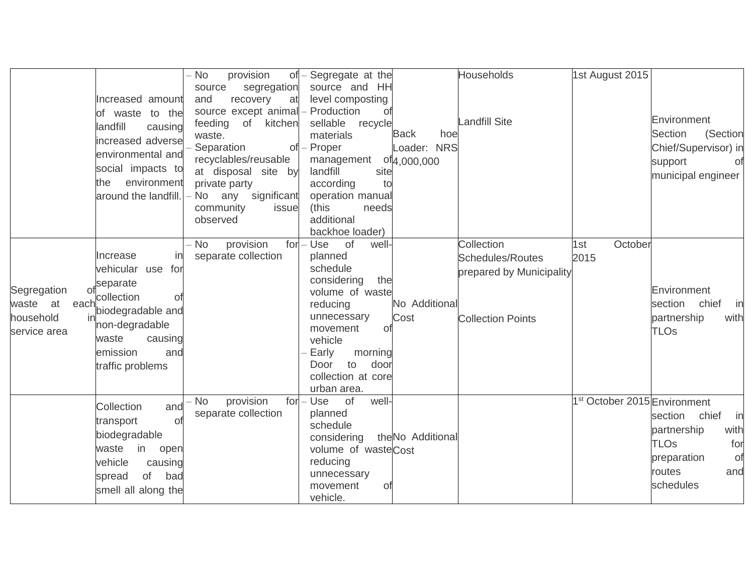|                                                               | Increased amount<br>of waste to the<br>landfill<br>causing<br>increased adverse<br>environmental and<br>social impacts to<br>environment<br>the<br>around the landfill.  | - No<br>provision<br>$of -$<br>source<br>segregation<br>recovery<br>and<br>at<br>source except animal<br>feeding of kitchen<br>waste.<br>Separation<br>recyclables/reusable<br>at disposal site by<br>private party<br>any significant<br>· No<br>community<br>issue<br>observed | Segregate at the<br>source and HH<br>level composting<br>Production<br>Οf<br>sellable<br>recycle<br>materials<br>$of$ – Proper<br>management<br>landfill<br>site<br>to<br>according<br>operation manual<br>(this<br>needs<br>additional<br>backhoe loader) | <b>Back</b><br>hoe<br>Loader: NRS<br>of <sub>4</sub> ,000,000 | <b>Households</b><br><b>Landfill Site</b>                                                     | 1st August 2015                          | Environment<br><b>Section</b><br>(Section<br>Chief/Supervisor) in<br>support<br>. of<br>municipal engineer          |
|---------------------------------------------------------------|--------------------------------------------------------------------------------------------------------------------------------------------------------------------------|----------------------------------------------------------------------------------------------------------------------------------------------------------------------------------------------------------------------------------------------------------------------------------|------------------------------------------------------------------------------------------------------------------------------------------------------------------------------------------------------------------------------------------------------------|---------------------------------------------------------------|-----------------------------------------------------------------------------------------------|------------------------------------------|---------------------------------------------------------------------------------------------------------------------|
| Segregation<br>waste at<br>each.<br>household<br>service area | in<br>Increase<br>vehicular use<br>for<br>separate<br>collection<br>01<br>biodegradable and<br>non-degradable<br>waste<br>causing<br>emission<br>and<br>traffic problems | $for -$<br>provision<br><b>No</b><br>separate collection                                                                                                                                                                                                                         | of<br>Use<br>well-<br>planned<br>schedule<br>considering<br>the<br>volume of waste<br>reducing<br>unnecessary<br>movement<br>Οf<br>vehicle<br>Early<br>morning<br>door<br>Door<br>to<br>collection at core<br>urban area.                                  | No Additional<br>Cost                                         | Collection<br><b>Schedules/Routes</b><br>prepared by Municipality<br><b>Collection Points</b> | October<br>1st<br>2015                   | Environment<br>chief<br>section<br>in<br>partnership<br>with<br><b>TLOs</b>                                         |
|                                                               | Collection<br>and<br>transport<br>οl<br>biodegradable<br>in<br>waste<br>open<br>vehicle<br>causing<br>of<br>bad<br>spread<br>smell all along the                         | provision<br>No<br>separate collection                                                                                                                                                                                                                                           | $for - Use$<br>well-<br>of<br>planned<br>schedule<br>considering<br>volume of wasteCost<br>reducing<br>unnecessary<br>Οf<br>movement<br>vehicle.                                                                                                           | theNo Additional                                              |                                                                                               | 1 <sup>st</sup> October 2015 Environment | section chief<br>in<br>with<br>partnership<br><b>TLOs</b><br>for<br>preparation<br>of<br>routes<br>and<br>schedules |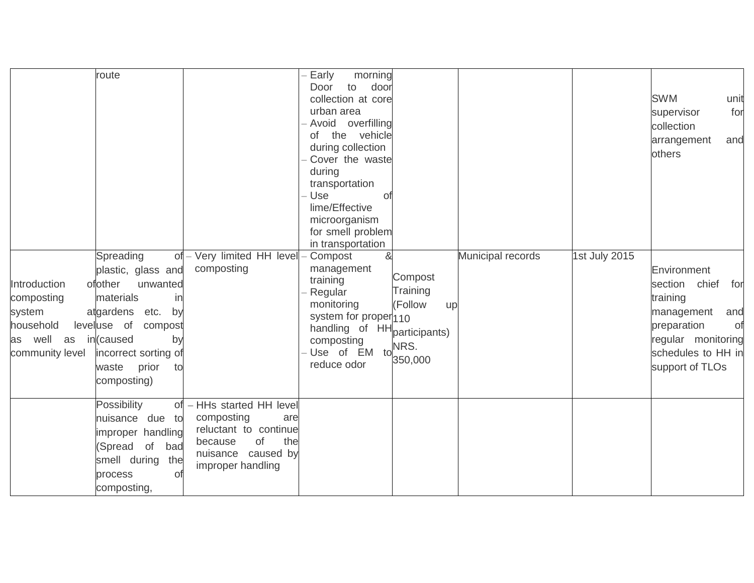| Introduction<br>composting<br>system<br>household<br>as well as in(caused<br>community level | route<br>Spreading<br>plastic, glass and<br>ofother<br>unwanted<br>materials<br>in<br>atgardens etc.<br>by<br>leveluse of<br>compost<br>by<br>incorrect sorting of<br>prior<br>waste<br>to<br>composting) | of - Very limited HH level<br>composting                                                                                                   | Early<br>morning<br>to<br>door<br>Door<br>collection at core<br>urban area<br>Avoid overfilling<br>of the vehicle<br>during collection<br>Cover the waste<br>during<br>transportation<br>Use<br>0f<br>lime/Effective<br>microorganism<br>for smell problem<br>in transportation<br>&<br>- Compost<br>management<br>training<br>Regular<br>monitoring<br>system for proper <sub>110</sub><br>handling of HH participants)<br>composting<br>Use of EM to<br>reduce odor | Compost<br>Training<br>(Follow<br>up<br>NRS.<br>350,000 | Municipal records | 1st July 2015 | <b>SWM</b><br>unit<br>for<br>supervisor<br>collection<br>arrangement<br>and<br>others<br>Environment<br>chief<br>section<br>for<br>training<br>management<br>and<br>preparation<br>Οf<br>regular monitoring<br>schedules to HH in<br>support of TLOs |
|----------------------------------------------------------------------------------------------|-----------------------------------------------------------------------------------------------------------------------------------------------------------------------------------------------------------|--------------------------------------------------------------------------------------------------------------------------------------------|-----------------------------------------------------------------------------------------------------------------------------------------------------------------------------------------------------------------------------------------------------------------------------------------------------------------------------------------------------------------------------------------------------------------------------------------------------------------------|---------------------------------------------------------|-------------------|---------------|------------------------------------------------------------------------------------------------------------------------------------------------------------------------------------------------------------------------------------------------------|
|                                                                                              | Possibility<br>nuisance due to<br>improper handling<br>(Spread of<br>bad<br>smell during<br>the<br>process<br>of<br>composting,                                                                           | of - HHs started HH level<br>composting<br>are<br>reluctant to continue<br>of<br>the<br>because<br>nuisance caused by<br>improper handling |                                                                                                                                                                                                                                                                                                                                                                                                                                                                       |                                                         |                   |               |                                                                                                                                                                                                                                                      |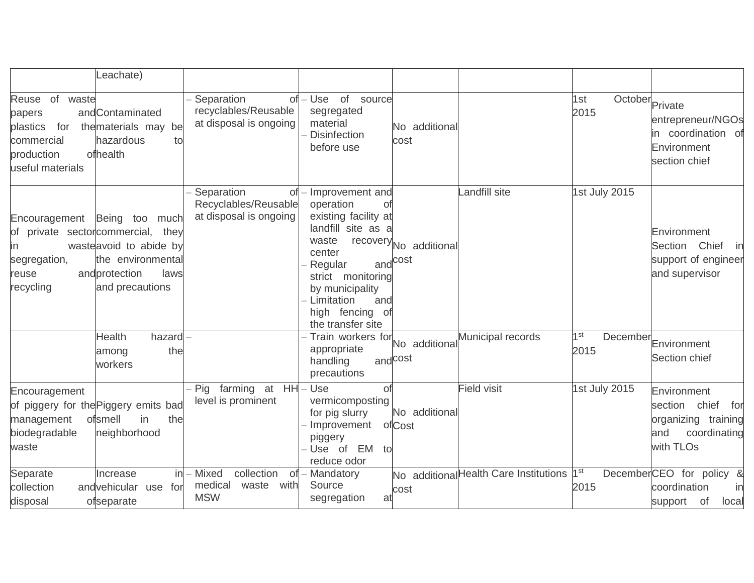|                                                                                                | eachate)                                                                                                                                       |                                                                           |                                                                                                                                                                                                                          |                                               |                                        |                                   |                                                                                             |
|------------------------------------------------------------------------------------------------|------------------------------------------------------------------------------------------------------------------------------------------------|---------------------------------------------------------------------------|--------------------------------------------------------------------------------------------------------------------------------------------------------------------------------------------------------------------------|-----------------------------------------------|----------------------------------------|-----------------------------------|---------------------------------------------------------------------------------------------|
| Reuse of<br>waste<br>papers<br>plastics<br>for<br>commercial<br>production<br>useful materials | andContaminated<br>the materials may be<br>hazardous<br>to<br>ofhealth                                                                         | Separation<br>Οf<br>recyclables/Reusable<br>at disposal is ongoing        | - Use of source<br>segregated<br>material<br><b>Disinfection</b><br>before use                                                                                                                                           | No additional<br>cost                         |                                        | October<br>Private<br>1st<br>2015 | entrepreneur/NGOs<br>in coordination of<br>Environment<br>section chief                     |
| Encouragement<br>ın<br>segregation,<br>reuse<br>recycling                                      | Being too much<br>of private sectorcommercial, they<br>wasteavoid to abide by<br>the environmental<br>andprotection<br>laws<br>and precautions | Separation<br><b>of</b><br>Recyclables/Reusable<br>at disposal is ongoing | - Improvement and<br>operation<br>Οt<br>existing facility at<br>landfill site as a<br>waste<br>center<br>Regular<br>strict monitoring<br>by municipality<br>Limitation<br>and<br>high fencing<br>of<br>the transfer site | recovery No additional<br>and <sup>cost</sup> | andfill site                           | 1st July 2015                     | Environment<br>Chief<br>Section<br>in<br>support of engineer<br>and supervisor              |
|                                                                                                | <b>Health</b><br>hazard<br>the<br>among<br>workers                                                                                             |                                                                           | Train workers for<br>appropriate<br>handling<br>precautions                                                                                                                                                              | No additional<br>and <sup>cost</sup>          | Municipal records                      | 1 <sup>st</sup><br>2015           | December Environment<br>Section chief                                                       |
| Encouragement<br>management<br>biodegradable<br>waste                                          | of piggery for the Piggery emits bad<br>ofsmell<br>in<br>the<br>neighborhood                                                                   | farming at HH<br>Pig<br>level is prominent                                | – Use<br>Οf<br>vermicomposting<br>for pig slurry<br>Improvement<br>piggery<br>Use of EM<br>to<br>reduce odor                                                                                                             | No additional<br>ofCost                       | <b>Field visit</b>                     | 1st July 2015                     | Environment<br>section chief for<br>organizing training<br>and<br>coordinating<br>with TLOs |
| Separate<br>collection<br>disposal                                                             | in<br>Increase<br>andvehicular use for<br>ofseparate                                                                                           | - Mixed<br>collection<br>0f<br>medical<br>waste<br>with<br><b>MSW</b>     | Mandatory<br>Source<br>segregation<br>at                                                                                                                                                                                 | cost                                          | No additional Health Care Institutions | 1 <sup>st</sup><br>2015           | DecemberCEO for policy<br>&<br>coordination<br>in<br>support of<br>local                    |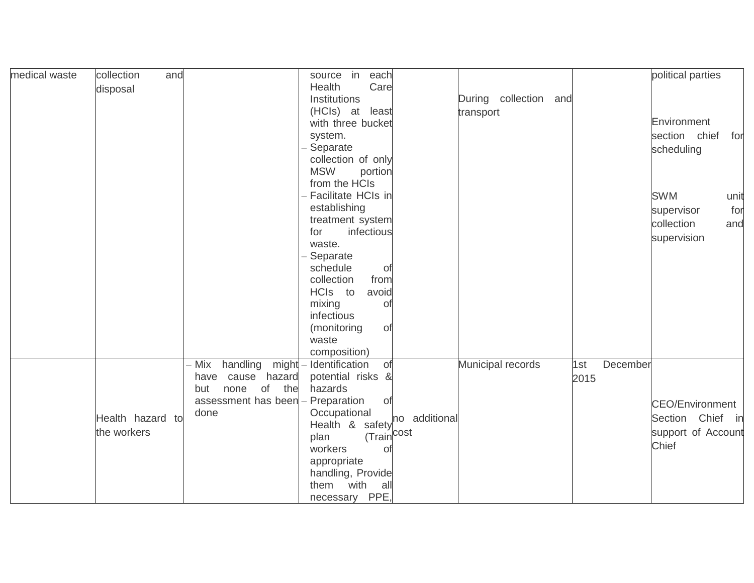| medical waste | collection<br>and |                       | source in each                 |                       |      |          | political parties      |      |
|---------------|-------------------|-----------------------|--------------------------------|-----------------------|------|----------|------------------------|------|
|               | disposal          |                       | Health<br>Care                 |                       |      |          |                        |      |
|               |                   |                       | Institutions                   | During collection and |      |          |                        |      |
|               |                   |                       | (HCls) at least                | transport             |      |          |                        |      |
|               |                   |                       | with three bucket              |                       |      |          | Environment            |      |
|               |                   |                       | system.                        |                       |      |          | section chief          | for  |
|               |                   |                       | Separate                       |                       |      |          | scheduling             |      |
|               |                   |                       | collection of only             |                       |      |          |                        |      |
|               |                   |                       | <b>MSW</b><br>portion          |                       |      |          |                        |      |
|               |                   |                       | from the HCIs                  |                       |      |          |                        |      |
|               |                   |                       | Facilitate HCIs in             |                       |      |          | <b>SWM</b>             | unit |
|               |                   |                       | establishing                   |                       |      |          | supervisor             | for  |
|               |                   |                       | treatment system               |                       |      |          | collection             | and  |
|               |                   |                       | infectious<br>for              |                       |      |          | supervision            |      |
|               |                   |                       | waste.                         |                       |      |          |                        |      |
|               |                   |                       | Separate<br>schedule           |                       |      |          |                        |      |
|               |                   |                       | 0f<br>collection<br>from       |                       |      |          |                        |      |
|               |                   |                       | HCIs to<br>avoid               |                       |      |          |                        |      |
|               |                   |                       | mixing<br>Οf                   |                       |      |          |                        |      |
|               |                   |                       | infectious                     |                       |      |          |                        |      |
|               |                   |                       | (monitoring<br><b>of</b>       |                       |      |          |                        |      |
|               |                   |                       | waste                          |                       |      |          |                        |      |
|               |                   |                       | composition)                   |                       |      |          |                        |      |
|               |                   | Mix handling<br>might | - Identification<br>of         | Municipal records     | 1st  | December |                        |      |
|               |                   | cause hazard<br>have  | potential risks &              |                       | 2015 |          |                        |      |
|               |                   | of the<br>but<br>none | hazards                        |                       |      |          |                        |      |
|               |                   | assessment has been   | Preparation<br><b>of</b>       |                       |      |          | <b>CEO/Environment</b> |      |
|               | Health hazard to  | done                  | Occupational                   |                       |      |          | Section Chief in       |      |
|               | the workers       |                       | Health & safety no additional  |                       |      |          | support of Account     |      |
|               |                   |                       | (Train <sup>cost</sup><br>plan |                       |      |          | Chief                  |      |
|               |                   |                       | workers<br>Οf                  |                       |      |          |                        |      |
|               |                   |                       | appropriate                    |                       |      |          |                        |      |
|               |                   |                       | handling, Provide              |                       |      |          |                        |      |
|               |                   |                       | them with<br>all               |                       |      |          |                        |      |
|               |                   |                       | necessary PPE,                 |                       |      |          |                        |      |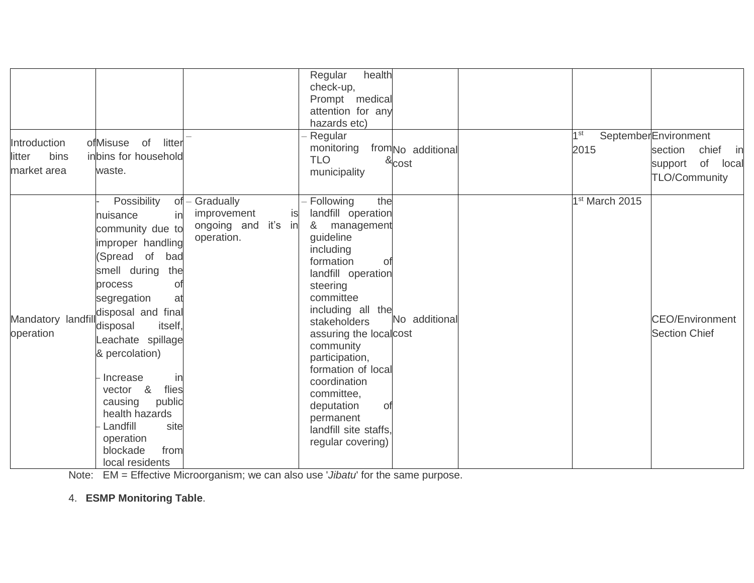| Introduction<br>bins<br>litter<br>market area | of<br>litter<br>ofMisuse<br>inbins for household<br>waste.<br>Possibility                                                                                                                                                                                                                                                                                                                     | of - Gradually                                         | check-up,<br>Prompt medical<br>attention for any<br>hazards etc)<br>Regular<br>monitoring<br><b>TLO</b><br>municipality<br>- Following<br>the                                                                                                                                                                                                                   | from <sub>No</sub> additional<br>$\&$ cost | 1 <sup>st</sup><br>2015<br>1 <sup>st</sup> March 2015 | SeptemberEnvironment<br>section<br>chief in<br>of<br>local<br>support<br><b>TLO/Community</b> |
|-----------------------------------------------|-----------------------------------------------------------------------------------------------------------------------------------------------------------------------------------------------------------------------------------------------------------------------------------------------------------------------------------------------------------------------------------------------|--------------------------------------------------------|-----------------------------------------------------------------------------------------------------------------------------------------------------------------------------------------------------------------------------------------------------------------------------------------------------------------------------------------------------------------|--------------------------------------------|-------------------------------------------------------|-----------------------------------------------------------------------------------------------|
| Mandatory landfill<br>operation               | in<br>nuisance<br>community due to<br>improper handling<br>(Spread of bad<br>smell during<br>the<br>process<br>Οf<br>segregation<br>at<br>disposal and final<br>itself,<br>disposal<br>eachate spillage<br>& percolation)<br>Increase<br>in<br>flies<br><u>&amp;</u><br>vector<br>public<br>causing<br>health hazards<br>Landfill<br>site<br>operation<br>blockade<br>from<br>local residents | improvement<br>is<br>ongoing and it's in<br>operation. | landfill operation<br>& management<br>guideline<br>including<br>formation<br>0f<br>landfill operation<br>steering<br>committee<br>including all the<br>stakeholders<br>assuring the localcost<br>community<br>participation,<br>formation of local<br>coordination<br>committee,<br>deputation<br>0f<br>permanent<br>landfill site staffs.<br>regular covering) | No additional                              |                                                       | <b>CEO/Environment</b><br><b>Section Chief</b>                                                |

Note: EM = Effective Microorganism; we can also use '*Jibatu*' for the same purpose.

4. **ESMP Monitoring Table**.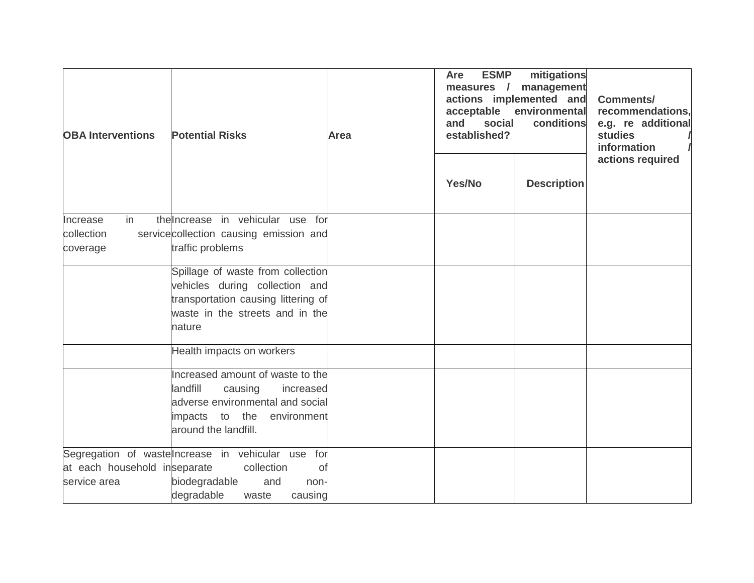| <b>OBA Interventions</b>                     | <b>Potential Risks</b>                                                                                                                                                                      | Area | <b>ESMP</b><br>Are<br>measures /<br>and<br>social<br>established? | mitigations<br>management<br>actions implemented and<br>acceptable environmental<br>conditions | <b>Comments/</b><br>recommendations.<br>e.g. re additional<br>studies<br>information<br>actions required |
|----------------------------------------------|---------------------------------------------------------------------------------------------------------------------------------------------------------------------------------------------|------|-------------------------------------------------------------------|------------------------------------------------------------------------------------------------|----------------------------------------------------------------------------------------------------------|
|                                              |                                                                                                                                                                                             |      | Yes/No                                                            | <b>Description</b>                                                                             |                                                                                                          |
| in<br>Increase<br>collection<br>coverage     | the Increase in vehicular use for<br>service collection causing emission and<br>traffic problems                                                                                            |      |                                                                   |                                                                                                |                                                                                                          |
|                                              | Spillage of waste from collection<br>vehicles during collection and<br>transportation causing littering of<br>waste in the streets and in the<br>nature                                     |      |                                                                   |                                                                                                |                                                                                                          |
|                                              | Health impacts on workers<br>Increased amount of waste to the<br>landfill<br>causing<br>increased<br>adverse environmental and social<br>impacts to the environment<br>around the landfill. |      |                                                                   |                                                                                                |                                                                                                          |
| at each household inseparate<br>service area | Segregation of wastelncrease in vehicular use for<br>collection<br>0f<br>biodegradable<br>and<br>non-<br>degradable<br>causing<br>waste                                                     |      |                                                                   |                                                                                                |                                                                                                          |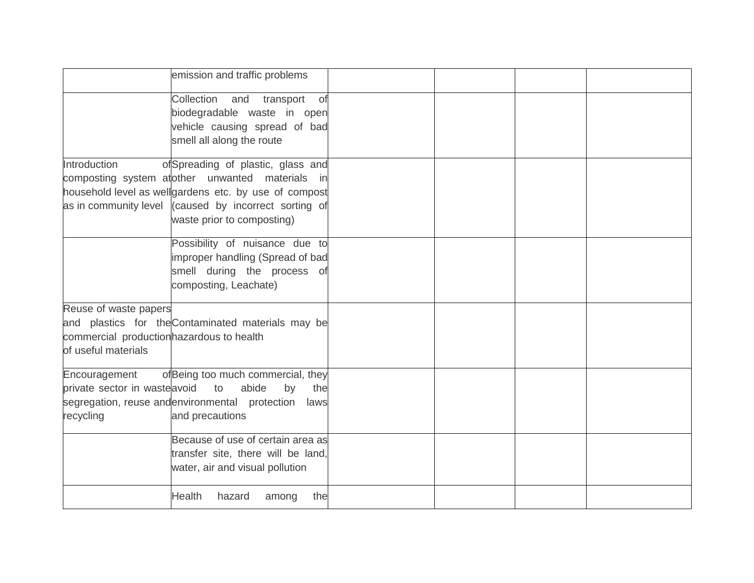|                                                                                           | emission and traffic problems                                                                                                                                                                                                        |  |  |
|-------------------------------------------------------------------------------------------|--------------------------------------------------------------------------------------------------------------------------------------------------------------------------------------------------------------------------------------|--|--|
|                                                                                           | Collection and transport<br>of<br>biodegradable waste in open<br>vehicle causing spread of bad<br>smell all along the route                                                                                                          |  |  |
| Introduction                                                                              | ofSpreading of plastic, glass and<br>composting system atother unwanted materials in<br>household level as wellgardens etc. by use of compost<br>as in community level (caused by incorrect sorting of<br>waste prior to composting) |  |  |
|                                                                                           | Possibility of nuisance due to<br>improper handling (Spread of bad<br>smell during the process of<br>composting, Leachate)                                                                                                           |  |  |
| Reuse of waste papers<br>commercial production hazardous to health<br>of useful materials | and plastics for the Contaminated materials may be                                                                                                                                                                                   |  |  |
| Encouragement<br>private sector in waste avoid<br>recycling                               | ofBeing too much commercial, they<br>abide<br>to<br>by<br>the<br>segregation, reuse andenvironmental protection<br>laws<br>and precautions                                                                                           |  |  |
|                                                                                           | Because of use of certain area as<br>transfer site, there will be land,<br>water, air and visual pollution                                                                                                                           |  |  |
|                                                                                           | <b>Health</b><br>hazard<br>the<br>among                                                                                                                                                                                              |  |  |